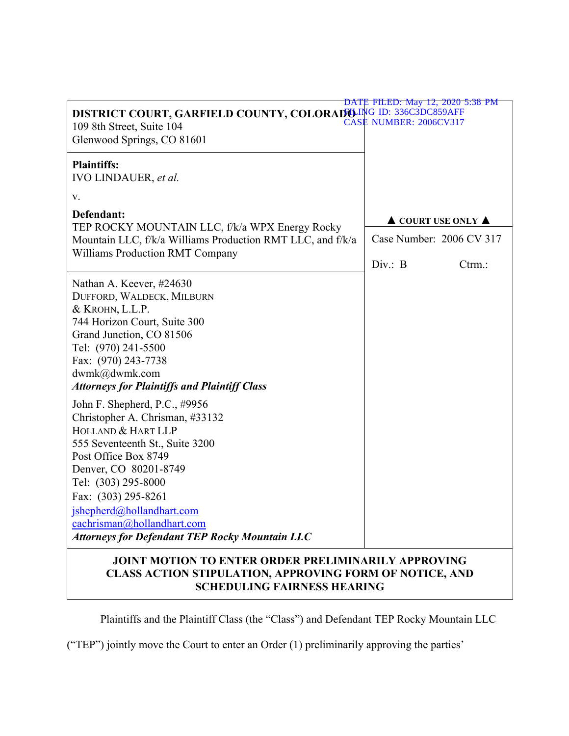| DISTRICT COURT, GARFIELD COUNTY, COLORADO ING ID: 336C3DC859AFF<br>109 8th Street, Suite 104<br>Glenwood Springs, CO 81601                                                                                                                                                                                                                   | DATE FILED: May 12, 2020 5:38 PM<br><b>CASE NUMBER: 2006CV317</b> |        |
|----------------------------------------------------------------------------------------------------------------------------------------------------------------------------------------------------------------------------------------------------------------------------------------------------------------------------------------------|-------------------------------------------------------------------|--------|
| <b>Plaintiffs:</b><br>IVO LINDAUER, et al.                                                                                                                                                                                                                                                                                                   |                                                                   |        |
| V.                                                                                                                                                                                                                                                                                                                                           |                                                                   |        |
| Defendant:<br>TEP ROCKY MOUNTAIN LLC, f/k/a WPX Energy Rocky<br>Mountain LLC, f/k/a Williams Production RMT LLC, and f/k/a<br>Williams Production RMT Company                                                                                                                                                                                | $\triangle$ COURT USE ONLY $\triangle$                            |        |
|                                                                                                                                                                                                                                                                                                                                              | Case Number: 2006 CV 317                                          |        |
|                                                                                                                                                                                                                                                                                                                                              | Div. : B                                                          | Ctrm.: |
| Nathan A. Keever, #24630<br>DUFFORD, WALDECK, MILBURN<br>& KROHN, L.L.P.<br>744 Horizon Court, Suite 300<br>Grand Junction, CO 81506<br>Tel: (970) 241-5500<br>Fax: (970) 243-7738<br>dwmk@dwmk.com<br><b>Attorneys for Plaintiffs and Plaintiff Class</b>                                                                                   |                                                                   |        |
| John F. Shepherd, P.C., #9956<br>Christopher A. Chrisman, #33132<br>HOLLAND & HART LLP<br>555 Seventeenth St., Suite 3200<br>Post Office Box 8749<br>Denver, CO 80201-8749<br>Tel: (303) 295-8000<br>Fax: (303) 295-8261<br>jshepherd@hollandhart.com<br>cachrisman@hollandhart.com<br><b>Attorneys for Defendant TEP Rocky Mountain LLC</b> |                                                                   |        |
| JOINT MOTION TO ENTER ORDER PRELIMINARILY APPROVING<br>CTION CTIDIT ATION ADDDOVING                                                                                                                                                                                                                                                          |                                                                   |        |

## **CLASS ACTION STIPULATION, APPROVING FORM OF NOTICE, AND SCHEDULING FAIRNESS HEARING**

Plaintiffs and the Plaintiff Class (the "Class") and Defendant TEP Rocky Mountain LLC

("TEP") jointly move the Court to enter an Order (1) preliminarily approving the parties'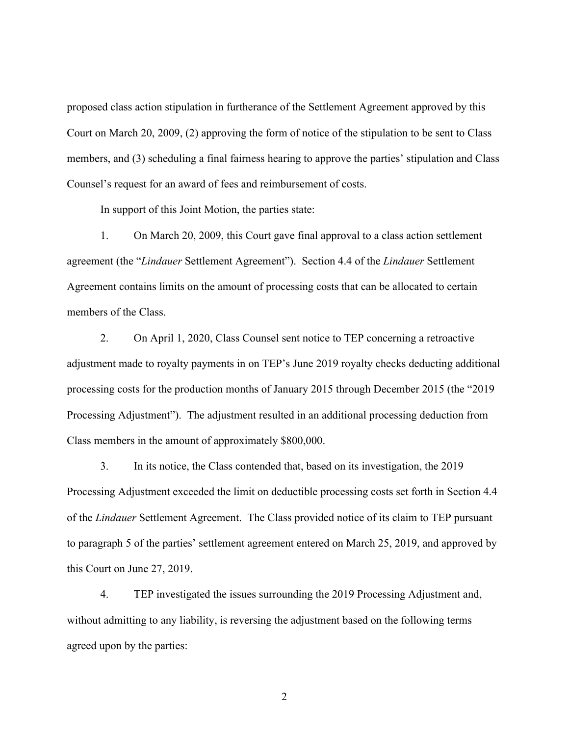proposed class action stipulation in furtherance of the Settlement Agreement approved by this Court on March 20, 2009, (2) approving the form of notice of the stipulation to be sent to Class members, and (3) scheduling a final fairness hearing to approve the parties' stipulation and Class Counsel's request for an award of fees and reimbursement of costs.

In support of this Joint Motion, the parties state:

 1. On March 20, 2009, this Court gave final approval to a class action settlement agreement (the "*Lindauer* Settlement Agreement"). Section 4.4 of the *Lindauer* Settlement Agreement contains limits on the amount of processing costs that can be allocated to certain members of the Class.

 2. On April 1, 2020, Class Counsel sent notice to TEP concerning a retroactive adjustment made to royalty payments in on TEP's June 2019 royalty checks deducting additional processing costs for the production months of January 2015 through December 2015 (the "2019 Processing Adjustment"). The adjustment resulted in an additional processing deduction from Class members in the amount of approximately \$800,000.

 3. In its notice, the Class contended that, based on its investigation, the 2019 Processing Adjustment exceeded the limit on deductible processing costs set forth in Section 4.4 of the *Lindauer* Settlement Agreement. The Class provided notice of its claim to TEP pursuant to paragraph 5 of the parties' settlement agreement entered on March 25, 2019, and approved by this Court on June 27, 2019.

 4. TEP investigated the issues surrounding the 2019 Processing Adjustment and, without admitting to any liability, is reversing the adjustment based on the following terms agreed upon by the parties: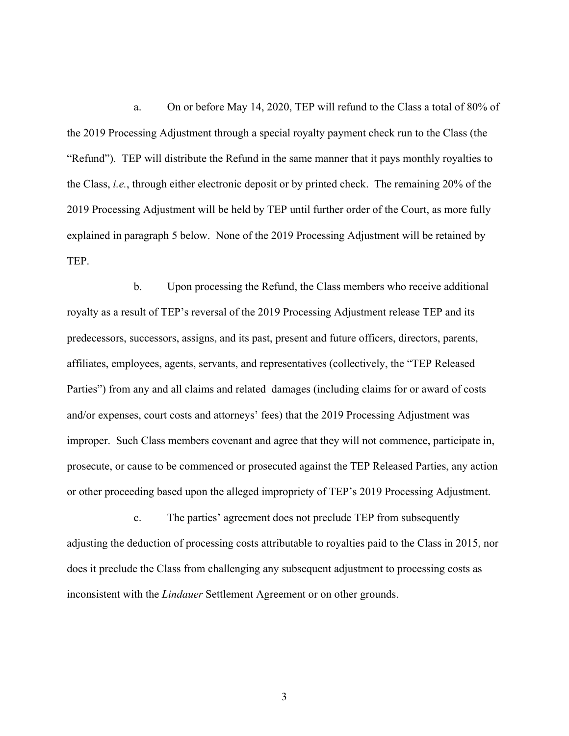a. On or before May 14, 2020, TEP will refund to the Class a total of 80% of the 2019 Processing Adjustment through a special royalty payment check run to the Class (the "Refund"). TEP will distribute the Refund in the same manner that it pays monthly royalties to the Class, *i.e.*, through either electronic deposit or by printed check. The remaining 20% of the 2019 Processing Adjustment will be held by TEP until further order of the Court, as more fully explained in paragraph 5 below. None of the 2019 Processing Adjustment will be retained by TEP.

 b. Upon processing the Refund, the Class members who receive additional royalty as a result of TEP's reversal of the 2019 Processing Adjustment release TEP and its predecessors, successors, assigns, and its past, present and future officers, directors, parents, affiliates, employees, agents, servants, and representatives (collectively, the "TEP Released Parties") from any and all claims and related damages (including claims for or award of costs and/or expenses, court costs and attorneys' fees) that the 2019 Processing Adjustment was improper. Such Class members covenant and agree that they will not commence, participate in, prosecute, or cause to be commenced or prosecuted against the TEP Released Parties, any action or other proceeding based upon the alleged impropriety of TEP's 2019 Processing Adjustment.

 c. The parties' agreement does not preclude TEP from subsequently adjusting the deduction of processing costs attributable to royalties paid to the Class in 2015, nor does it preclude the Class from challenging any subsequent adjustment to processing costs as inconsistent with the *Lindauer* Settlement Agreement or on other grounds.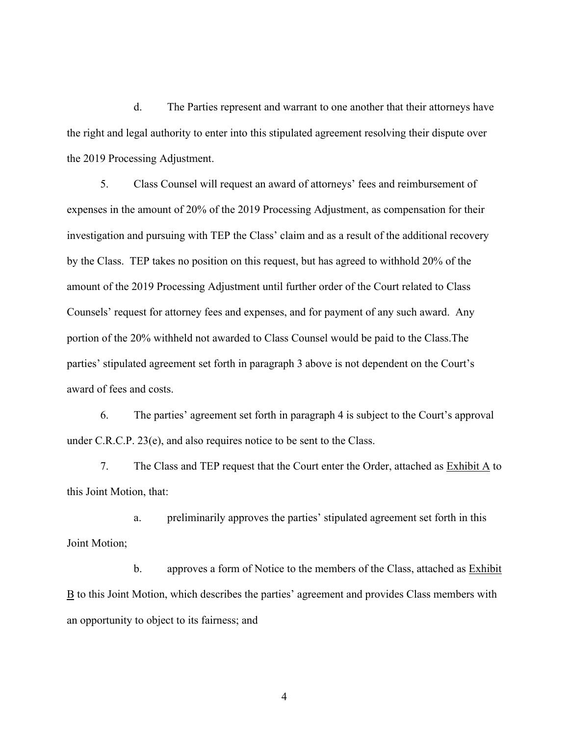d. The Parties represent and warrant to one another that their attorneys have the right and legal authority to enter into this stipulated agreement resolving their dispute over the 2019 Processing Adjustment.

 5. Class Counsel will request an award of attorneys' fees and reimbursement of expenses in the amount of 20% of the 2019 Processing Adjustment, as compensation for their investigation and pursuing with TEP the Class' claim and as a result of the additional recovery by the Class. TEP takes no position on this request, but has agreed to withhold 20% of the amount of the 2019 Processing Adjustment until further order of the Court related to Class Counsels' request for attorney fees and expenses, and for payment of any such award. Any portion of the 20% withheld not awarded to Class Counsel would be paid to the Class.The parties' stipulated agreement set forth in paragraph 3 above is not dependent on the Court's award of fees and costs.

 6. The parties' agreement set forth in paragraph 4 is subject to the Court's approval under C.R.C.P. 23(e), and also requires notice to be sent to the Class.

 7. The Class and TEP request that the Court enter the Order, attached as Exhibit A to this Joint Motion, that:

 a. preliminarily approves the parties' stipulated agreement set forth in this Joint Motion;

 b. approves a form of Notice to the members of the Class, attached as Exhibit  $\underline{B}$  to this Joint Motion, which describes the parties' agreement and provides Class members with an opportunity to object to its fairness; and